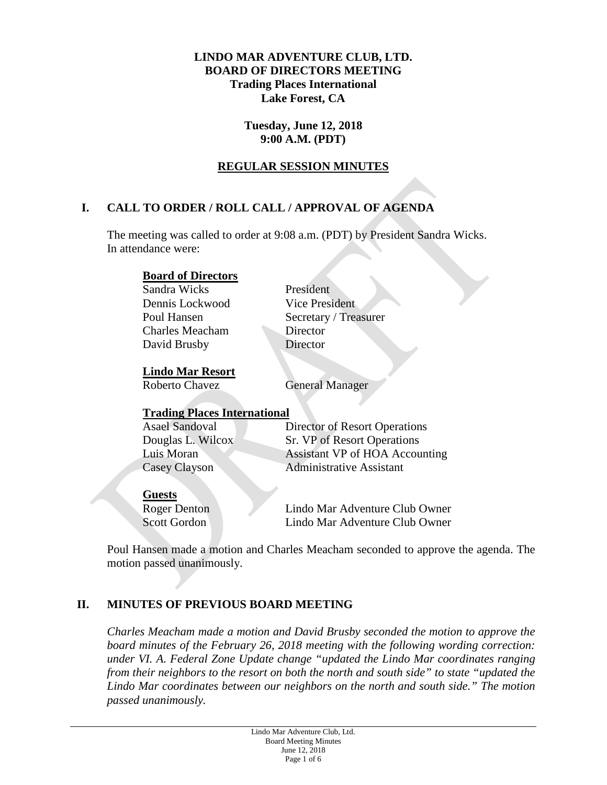### **LINDO MAR ADVENTURE CLUB, LTD. BOARD OF DIRECTORS MEETING Trading Places International Lake Forest, CA**

#### **Tuesday, June 12, 2018 9:00 A.M. (PDT)**

## **REGULAR SESSION MINUTES**

# **I. CALL TO ORDER / ROLL CALL / APPROVAL OF AGENDA**

The meeting was called to order at 9:08 a.m. (PDT) by President Sandra Wicks. In attendance were:

### **Board of Directors**

Sandra Wicks President Dennis Lockwood Vice President Charles Meacham Director David Brusby<br>
Director

Poul Hansen Secretary / Treasurer

#### **Lindo Mar Resort**

Roberto Chavez **General Manager** 

### **Trading Places International**

| <b>Asael Sandoval</b> | Director of Resort Operations         |
|-----------------------|---------------------------------------|
| Douglas L. Wilcox     | Sr. VP of Resort Operations           |
| Luis Moran            | <b>Assistant VP of HOA Accounting</b> |
| Casey Clayson         | <b>Administrative Assistant</b>       |

#### **Guests**

Roger Denton Lindo Mar Adventure Club Owner Scott Gordon Lindo Mar Adventure Club Owner

Poul Hansen made a motion and Charles Meacham seconded to approve the agenda. The motion passed unanimously.

# **II. MINUTES OF PREVIOUS BOARD MEETING**

*Charles Meacham made a motion and David Brusby seconded the motion to approve the board minutes of the February 26, 2018 meeting with the following wording correction: under VI. A. Federal Zone Update change "updated the Lindo Mar coordinates ranging from their neighbors to the resort on both the north and south side" to state "updated the Lindo Mar coordinates between our neighbors on the north and south side." The motion passed unanimously.*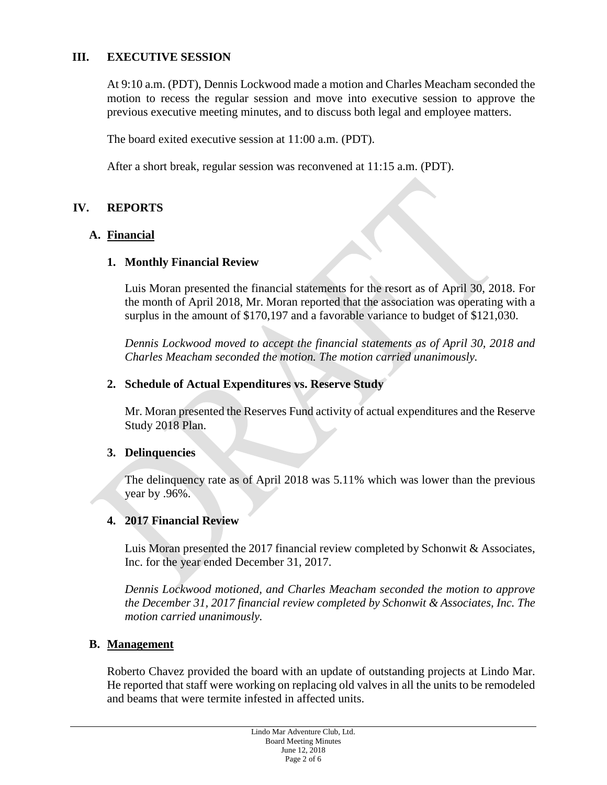## **III. EXECUTIVE SESSION**

At 9:10 a.m. (PDT), Dennis Lockwood made a motion and Charles Meacham seconded the motion to recess the regular session and move into executive session to approve the previous executive meeting minutes, and to discuss both legal and employee matters.

The board exited executive session at 11:00 a.m. (PDT).

After a short break, regular session was reconvened at 11:15 a.m. (PDT).

## **IV. REPORTS**

## **A. Financial**

### **1. Monthly Financial Review**

Luis Moran presented the financial statements for the resort as of April 30, 2018. For the month of April 2018, Mr. Moran reported that the association was operating with a surplus in the amount of \$170,197 and a favorable variance to budget of \$121,030.

*Dennis Lockwood moved to accept the financial statements as of April 30, 2018 and Charles Meacham seconded the motion. The motion carried unanimously.*

### **2. Schedule of Actual Expenditures vs. Reserve Study**

Mr. Moran presented the Reserves Fund activity of actual expenditures and the Reserve Study 2018 Plan.

### **3. Delinquencies**

The delinquency rate as of April 2018 was 5.11% which was lower than the previous year by .96%.

### **4. 2017 Financial Review**

Luis Moran presented the 2017 financial review completed by Schonwit & Associates, Inc. for the year ended December 31, 2017.

*Dennis Lockwood motioned, and Charles Meacham seconded the motion to approve the December 31, 2017 financial review completed by Schonwit & Associates, Inc. The motion carried unanimously.* 

### **B. Management**

Roberto Chavez provided the board with an update of outstanding projects at Lindo Mar. He reported that staff were working on replacing old valves in all the units to be remodeled and beams that were termite infested in affected units.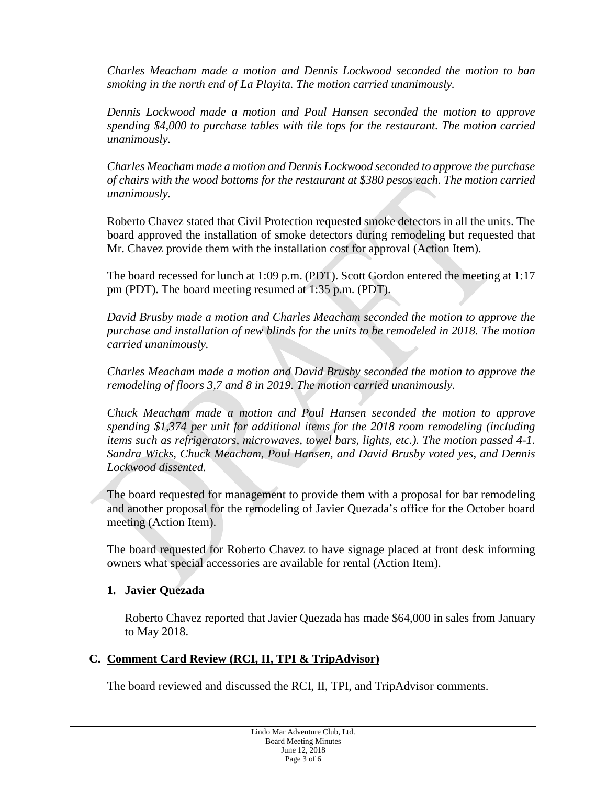*Charles Meacham made a motion and Dennis Lockwood seconded the motion to ban smoking in the north end of La Playita. The motion carried unanimously.* 

*Dennis Lockwood made a motion and Poul Hansen seconded the motion to approve spending \$4,000 to purchase tables with tile tops for the restaurant. The motion carried unanimously.* 

*Charles Meacham made a motion and Dennis Lockwood seconded to approve the purchase of chairs with the wood bottoms for the restaurant at \$380 pesos each. The motion carried unanimously.* 

Roberto Chavez stated that Civil Protection requested smoke detectors in all the units. The board approved the installation of smoke detectors during remodeling but requested that Mr. Chavez provide them with the installation cost for approval (Action Item).

The board recessed for lunch at 1:09 p.m. (PDT). Scott Gordon entered the meeting at 1:17 pm (PDT). The board meeting resumed at 1:35 p.m. (PDT).

*David Brusby made a motion and Charles Meacham seconded the motion to approve the purchase and installation of new blinds for the units to be remodeled in 2018. The motion carried unanimously.* 

*Charles Meacham made a motion and David Brusby seconded the motion to approve the remodeling of floors 3,7 and 8 in 2019. The motion carried unanimously.* 

*Chuck Meacham made a motion and Poul Hansen seconded the motion to approve spending \$1,374 per unit for additional items for the 2018 room remodeling (including items such as refrigerators, microwaves, towel bars, lights, etc.). The motion passed 4-1. Sandra Wicks, Chuck Meacham, Poul Hansen, and David Brusby voted yes, and Dennis Lockwood dissented.* 

The board requested for management to provide them with a proposal for bar remodeling and another proposal for the remodeling of Javier Quezada's office for the October board meeting (Action Item).

The board requested for Roberto Chavez to have signage placed at front desk informing owners what special accessories are available for rental (Action Item).

### **1. Javier Quezada**

Roberto Chavez reported that Javier Quezada has made \$64,000 in sales from January to May 2018.

### **C. Comment Card Review (RCI, II, TPI & TripAdvisor)**

The board reviewed and discussed the RCI, II, TPI, and TripAdvisor comments.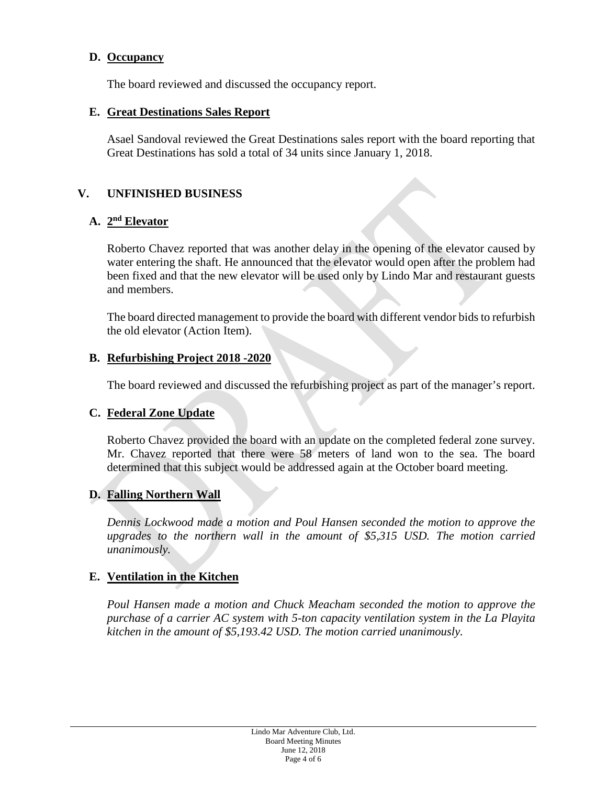### **D. Occupancy**

The board reviewed and discussed the occupancy report.

#### **E. Great Destinations Sales Report**

Asael Sandoval reviewed the Great Destinations sales report with the board reporting that Great Destinations has sold a total of 34 units since January 1, 2018.

### **V. UNFINISHED BUSINESS**

#### **A. 2nd Elevator**

Roberto Chavez reported that was another delay in the opening of the elevator caused by water entering the shaft. He announced that the elevator would open after the problem had been fixed and that the new elevator will be used only by Lindo Mar and restaurant guests and members.

The board directed management to provide the board with different vendor bids to refurbish the old elevator (Action Item).

#### **B. Refurbishing Project 2018 -2020**

The board reviewed and discussed the refurbishing project as part of the manager's report.

### **C. Federal Zone Update**

Roberto Chavez provided the board with an update on the completed federal zone survey. Mr. Chavez reported that there were 58 meters of land won to the sea. The board determined that this subject would be addressed again at the October board meeting.

### **D. Falling Northern Wall**

*Dennis Lockwood made a motion and Poul Hansen seconded the motion to approve the upgrades to the northern wall in the amount of \$5,315 USD. The motion carried unanimously.* 

### **E. Ventilation in the Kitchen**

*Poul Hansen made a motion and Chuck Meacham seconded the motion to approve the purchase of a carrier AC system with 5-ton capacity ventilation system in the La Playita kitchen in the amount of \$5,193.42 USD. The motion carried unanimously.*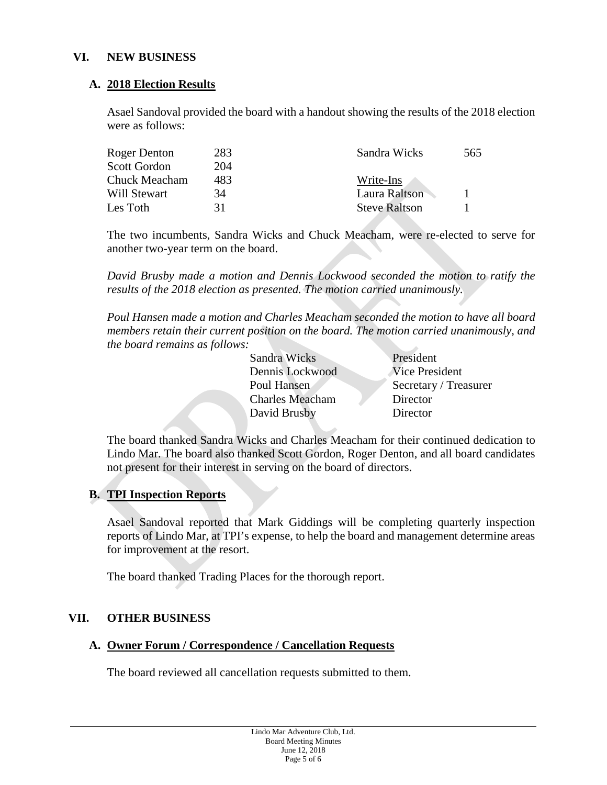### **VI. NEW BUSINESS**

#### **A. 2018 Election Results**

Asael Sandoval provided the board with a handout showing the results of the 2018 election were as follows:

| 283 | Sandra Wicks         | 565 |
|-----|----------------------|-----|
| 204 |                      |     |
| 483 | Write-Ins            |     |
| 34  | Laura Raltson        |     |
| 31  | <b>Steve Raltson</b> |     |
|     |                      |     |

The two incumbents, Sandra Wicks and Chuck Meacham, were re-elected to serve for another two-year term on the board.

*David Brusby made a motion and Dennis Lockwood seconded the motion to ratify the results of the 2018 election as presented. The motion carried unanimously.* 

*Poul Hansen made a motion and Charles Meacham seconded the motion to have all board members retain their current position on the board. The motion carried unanimously, and the board remains as follows:* 

> Sandra Wicks President Dennis Lockwood Vice President Charles Meacham Director David Brusby Director

Poul Hansen Secretary / Treasurer

The board thanked Sandra Wicks and Charles Meacham for their continued dedication to Lindo Mar. The board also thanked Scott Gordon, Roger Denton, and all board candidates not present for their interest in serving on the board of directors.

### **B. TPI Inspection Reports**

Asael Sandoval reported that Mark Giddings will be completing quarterly inspection reports of Lindo Mar, at TPI's expense, to help the board and management determine areas for improvement at the resort.

The board thanked Trading Places for the thorough report.

#### **VII. OTHER BUSINESS**

#### **A. Owner Forum / Correspondence / Cancellation Requests**

The board reviewed all cancellation requests submitted to them.